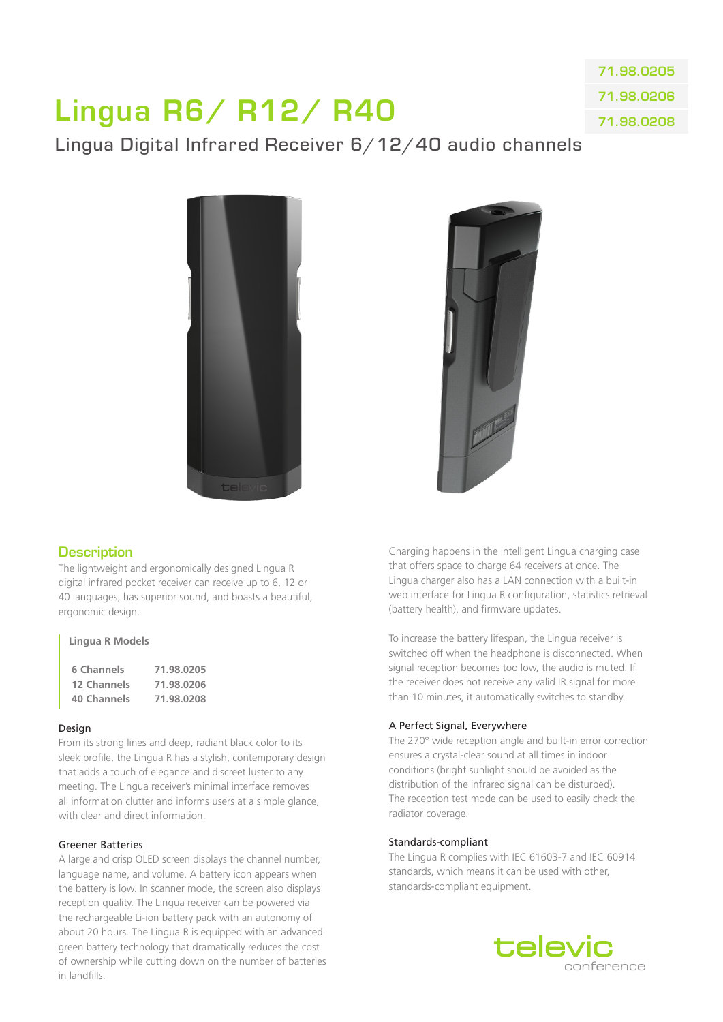# Lingua R6/ R12/ R40

71.98.0205 71.98.0206 71.98.0208

# Lingua Digital Infrared Receiver 6/12/40 audio channels





# **Description**

The lightweight and ergonomically designed Lingua R digital infrared pocket receiver can receive up to 6, 12 or 40 languages, has superior sound, and boasts a beautiful, ergonomic design.

#### **Lingua R Models**

| 6 Channels  | 71.98.0205 |
|-------------|------------|
| 12 Channels | 71.98.0206 |
| 40 Channels | 71.98.0208 |

#### Design

From its strong lines and deep, radiant black color to its sleek profile, the Lingua R has a stylish, contemporary design that adds a touch of elegance and discreet luster to any meeting. The Lingua receiver's minimal interface removes all information clutter and informs users at a simple glance, with clear and direct information.

#### Greener Batteries

A large and crisp OLED screen displays the channel number language name, and volume. A battery icon appears when the battery is low. In scanner mode, the screen also displays reception quality. The Lingua receiver can be powered via the rechargeable Li-ion battery pack with an autonomy of about 20 hours. The Lingua R is equipped with an advanced green battery technology that dramatically reduces the cost of ownership while cutting down on the number of batteries in landfills.

Charging happens in the intelligent Lingua charging case that offers space to charge 64 receivers at once. The Lingua charger also has a LAN connection with a built-in web interface for Lingua R configuration, statistics retrieval (battery health), and firmware updates.

To increase the battery lifespan, the Lingua receiver is switched off when the headphone is disconnected. When signal reception becomes too low, the audio is muted. If the receiver does not receive any valid IR signal for more than 10 minutes, it automatically switches to standby.

#### A Perfect Signal, Everywhere

The 270° wide reception angle and built-in error correction ensures a crystal-clear sound at all times in indoor conditions (bright sunlight should be avoided as the distribution of the infrared signal can be disturbed). The reception test mode can be used to easily check the radiator coverage.

#### Standards-compliant

The Lingua R complies with IEC 61603-7 and IEC 60914 standards, which means it can be used with other, standards-compliant equipment.